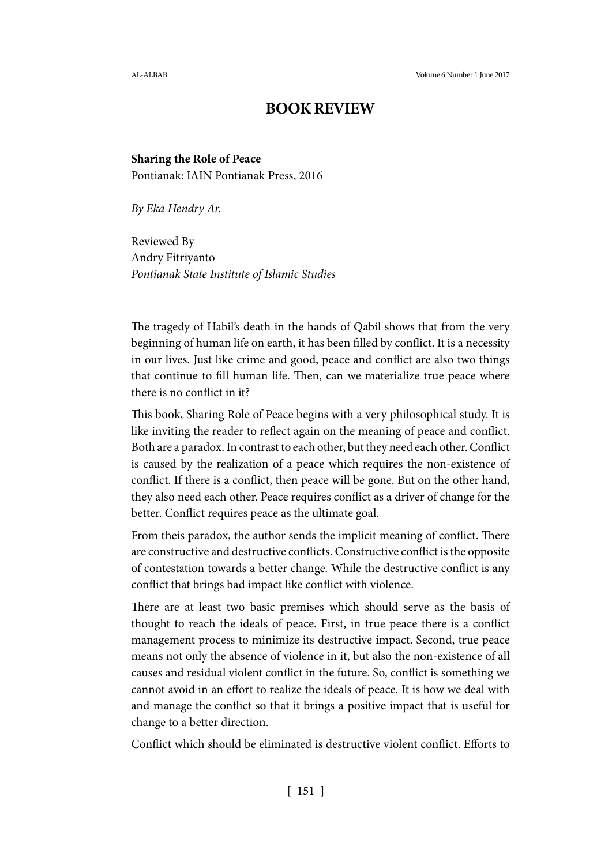AL-ALBAB Volume 6 Number 1 June 2017

## **BOOK REVIEW**

## **Sharing the Role of Peace**

Pontianak: IAIN Pontianak Press, 2016

*By Eka Hendry Ar.*

Reviewed By Andry Fitriyanto *Pontianak State Institute of Islamic Studies*

The tragedy of Habil's death in the hands of Qabil shows that from the very beginning of human life on earth, it has been filled by conflict. It is a necessity in our lives. Just like crime and good, peace and conflict are also two things that continue to fill human life. Then, can we materialize true peace where there is no conflict in it?

This book, Sharing Role of Peace begins with a very philosophical study. It is like inviting the reader to reflect again on the meaning of peace and conflict. Both are a paradox. In contrast to each other, but they need each other. Conflict is caused by the realization of a peace which requires the non-existence of conflict. If there is a conflict, then peace will be gone. But on the other hand, they also need each other. Peace requires conflict as a driver of change for the better. Conflict requires peace as the ultimate goal.

From theis paradox, the author sends the implicit meaning of conflict. There are constructive and destructive conflicts. Constructive conflict is the opposite of contestation towards a better change. While the destructive conflict is any conflict that brings bad impact like conflict with violence.

There are at least two basic premises which should serve as the basis of thought to reach the ideals of peace. First, in true peace there is a conflict management process to minimize its destructive impact. Second, true peace means not only the absence of violence in it, but also the non-existence of all causes and residual violent conflict in the future. So, conflict is something we cannot avoid in an effort to realize the ideals of peace. It is how we deal with and manage the conflict so that it brings a positive impact that is useful for change to a better direction.

Conflict which should be eliminated is destructive violent conflict. Efforts to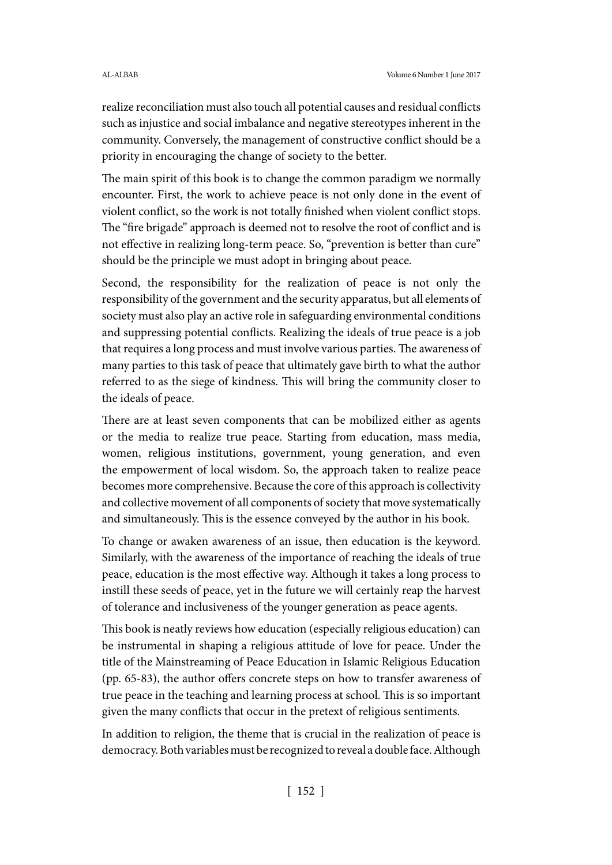realize reconciliation must also touch all potential causes and residual conflicts such as injustice and social imbalance and negative stereotypes inherent in the community. Conversely, the management of constructive conflict should be a priority in encouraging the change of society to the better.

The main spirit of this book is to change the common paradigm we normally encounter. First, the work to achieve peace is not only done in the event of violent conflict, so the work is not totally finished when violent conflict stops. The "fire brigade" approach is deemed not to resolve the root of conflict and is not effective in realizing long-term peace. So, "prevention is better than cure" should be the principle we must adopt in bringing about peace.

Second, the responsibility for the realization of peace is not only the responsibility of the government and the security apparatus, but all elements of society must also play an active role in safeguarding environmental conditions and suppressing potential conflicts. Realizing the ideals of true peace is a job that requires a long process and must involve various parties. The awareness of many parties to this task of peace that ultimately gave birth to what the author referred to as the siege of kindness. This will bring the community closer to the ideals of peace.

There are at least seven components that can be mobilized either as agents or the media to realize true peace. Starting from education, mass media, women, religious institutions, government, young generation, and even the empowerment of local wisdom. So, the approach taken to realize peace becomes more comprehensive. Because the core of this approach is collectivity and collective movement of all components of society that move systematically and simultaneously. This is the essence conveyed by the author in his book.

To change or awaken awareness of an issue, then education is the keyword. Similarly, with the awareness of the importance of reaching the ideals of true peace, education is the most effective way. Although it takes a long process to instill these seeds of peace, yet in the future we will certainly reap the harvest of tolerance and inclusiveness of the younger generation as peace agents.

This book is neatly reviews how education (especially religious education) can be instrumental in shaping a religious attitude of love for peace. Under the title of the Mainstreaming of Peace Education in Islamic Religious Education (pp. 65-83), the author offers concrete steps on how to transfer awareness of true peace in the teaching and learning process at school. This is so important given the many conflicts that occur in the pretext of religious sentiments.

In addition to religion, the theme that is crucial in the realization of peace is democracy. Both variables must be recognized to reveal a double face. Although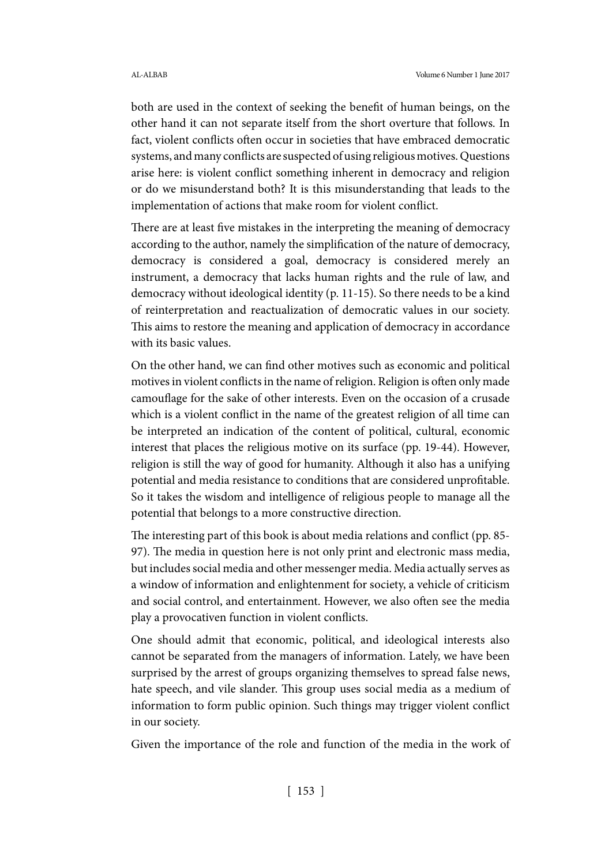both are used in the context of seeking the benefit of human beings, on the other hand it can not separate itself from the short overture that follows. In fact, violent conflicts often occur in societies that have embraced democratic systems, and many conflicts are suspected of using religious motives. Questions arise here: is violent conflict something inherent in democracy and religion or do we misunderstand both? It is this misunderstanding that leads to the implementation of actions that make room for violent conflict.

There are at least five mistakes in the interpreting the meaning of democracy according to the author, namely the simplification of the nature of democracy, democracy is considered a goal, democracy is considered merely an instrument, a democracy that lacks human rights and the rule of law, and democracy without ideological identity (p. 11-15). So there needs to be a kind of reinterpretation and reactualization of democratic values in our society. This aims to restore the meaning and application of democracy in accordance with its basic values.

On the other hand, we can find other motives such as economic and political motives in violent conflicts in the name of religion. Religion is often only made camouflage for the sake of other interests. Even on the occasion of a crusade which is a violent conflict in the name of the greatest religion of all time can be interpreted an indication of the content of political, cultural, economic interest that places the religious motive on its surface (pp. 19-44). However, religion is still the way of good for humanity. Although it also has a unifying potential and media resistance to conditions that are considered unprofitable. So it takes the wisdom and intelligence of religious people to manage all the potential that belongs to a more constructive direction.

The interesting part of this book is about media relations and conflict (pp. 85-97). The media in question here is not only print and electronic mass media, but includes social media and other messenger media. Media actually serves as a window of information and enlightenment for society, a vehicle of criticism and social control, and entertainment. However, we also often see the media play a provocativen function in violent conflicts.

One should admit that economic, political, and ideological interests also cannot be separated from the managers of information. Lately, we have been surprised by the arrest of groups organizing themselves to spread false news, hate speech, and vile slander. This group uses social media as a medium of information to form public opinion. Such things may trigger violent conflict in our society.

Given the importance of the role and function of the media in the work of